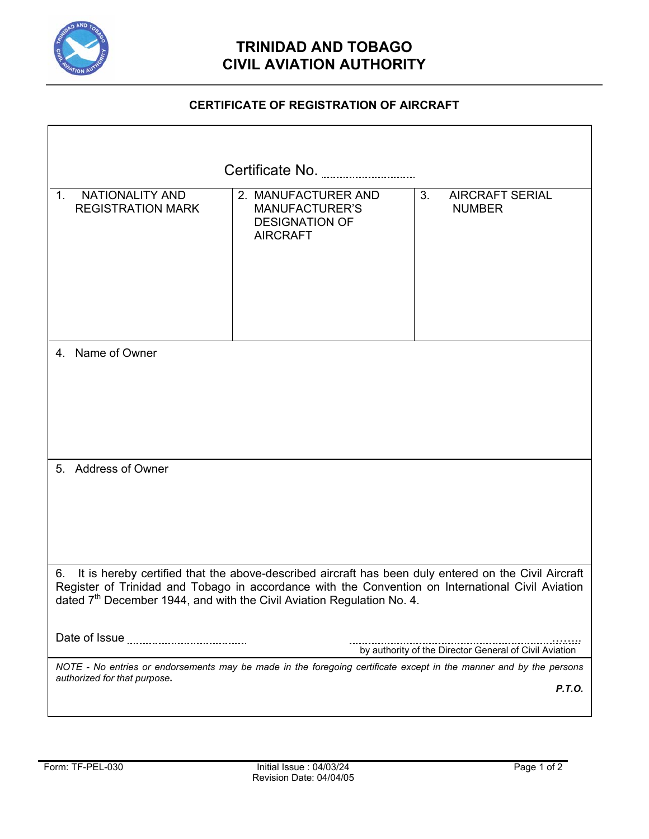

# **TRINIDAD AND TOBAGO CIVIL AVIATION AUTHORITY**

## **CERTIFICATE OF REGISTRATION OF AIRCRAFT**

| Certificate No.                                                                                                                                                                                                                                                                                       |                                                                                          |                                                        |
|-------------------------------------------------------------------------------------------------------------------------------------------------------------------------------------------------------------------------------------------------------------------------------------------------------|------------------------------------------------------------------------------------------|--------------------------------------------------------|
| NATIONALITY AND<br>$1_{-}$<br><b>REGISTRATION MARK</b>                                                                                                                                                                                                                                                | 2. MANUFACTURER AND<br><b>MANUFACTURER'S</b><br><b>DESIGNATION OF</b><br><b>AIRCRAFT</b> | 3.<br><b>AIRCRAFT SERIAL</b><br><b>NUMBER</b>          |
| 4. Name of Owner                                                                                                                                                                                                                                                                                      |                                                                                          |                                                        |
| 5. Address of Owner                                                                                                                                                                                                                                                                                   |                                                                                          |                                                        |
| It is hereby certified that the above-described aircraft has been duly entered on the Civil Aircraft<br>6.<br>Register of Trinidad and Tobago in accordance with the Convention on International Civil Aviation<br>dated 7 <sup>th</sup> December 1944, and with the Civil Aviation Regulation No. 4. |                                                                                          |                                                        |
|                                                                                                                                                                                                                                                                                                       |                                                                                          | by authority of the Director General of Civil Aviation |
| NOTE - No entries or endorsements may be made in the foregoing certificate except in the manner and by the persons<br>authorized for that purpose.<br>P.T.O.                                                                                                                                          |                                                                                          |                                                        |